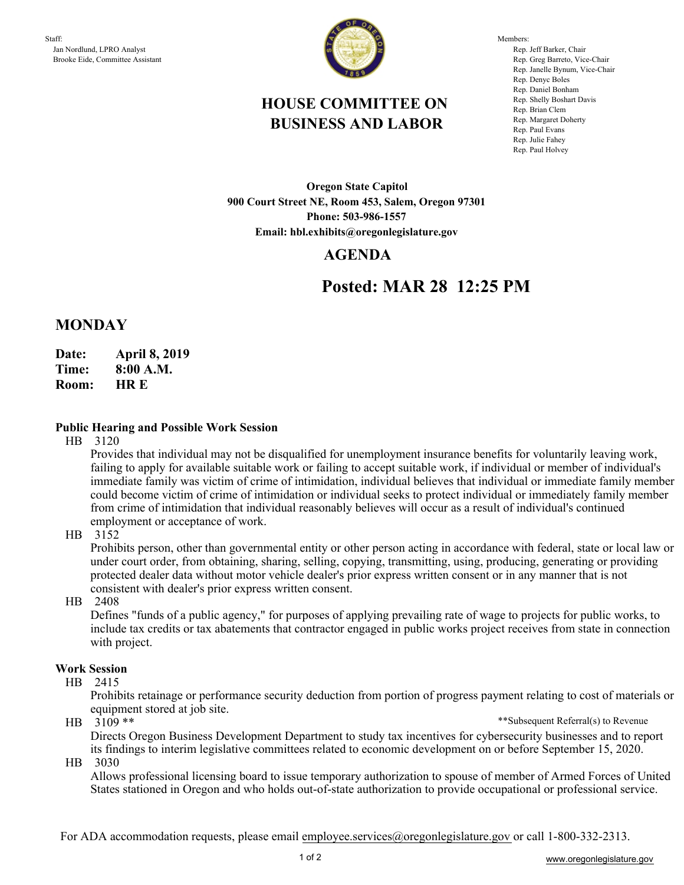

Members: Rep. Jeff Barker, Chair Rep. Greg Barreto, Vice-Chair Rep. Janelle Bynum, Vice-Chair Rep. Denyc Boles Rep. Daniel Bonham Rep. Shelly Boshart Davis Rep. Brian Clem Rep. Margaret Doherty Rep. Paul Evans Rep. Julie Fahey Rep. Paul Holvey

# **HOUSE COMMITTEE ON BUSINESS AND LABOR**

**Oregon State Capitol 900 Court Street NE, Room 453, Salem, Oregon 97301 Phone: 503-986-1557 Email: hbl.exhibits@oregonlegislature.gov**

## **AGENDA**

# **Posted: MAR 28 12:25 PM**

## **MONDAY**

- **Date: April 8, 2019**
- **Time: 8:00 A.M.**
- **HR E Room:**

#### **Public Hearing and Possible Work Session**

HB 3120

Provides that individual may not be disqualified for unemployment insurance benefits for voluntarily leaving work, failing to apply for available suitable work or failing to accept suitable work, if individual or member of individual's immediate family was victim of crime of intimidation, individual believes that individual or immediate family member could become victim of crime of intimidation or individual seeks to protect individual or immediately family member from crime of intimidation that individual reasonably believes will occur as a result of individual's continued employment or acceptance of work.

HB 3152

Prohibits person, other than governmental entity or other person acting in accordance with federal, state or local law or under court order, from obtaining, sharing, selling, copying, transmitting, using, producing, generating or providing protected dealer data without motor vehicle dealer's prior express written consent or in any manner that is not consistent with dealer's prior express written consent.

#### HB 2408

Defines "funds of a public agency," for purposes of applying prevailing rate of wage to projects for public works, to include tax credits or tax abatements that contractor engaged in public works project receives from state in connection with project.

#### **Work Session**

HB 2415

Prohibits retainage or performance security deduction from portion of progress payment relating to cost of materials or equipment stored at job site.

 $HB \quad 3109$  \*\*

\*\*Subsequent Referral(s) to Revenue

Directs Oregon Business Development Department to study tax incentives for cybersecurity businesses and to report its findings to interim legislative committees related to economic development on or before September 15, 2020.

HB 3030

Allows professional licensing board to issue temporary authorization to spouse of member of Armed Forces of United States stationed in Oregon and who holds out-of-state authorization to provide occupational or professional service.

For ADA accommodation requests, please email employee.services@oregonlegislature.gov or call 1-800-332-2313.